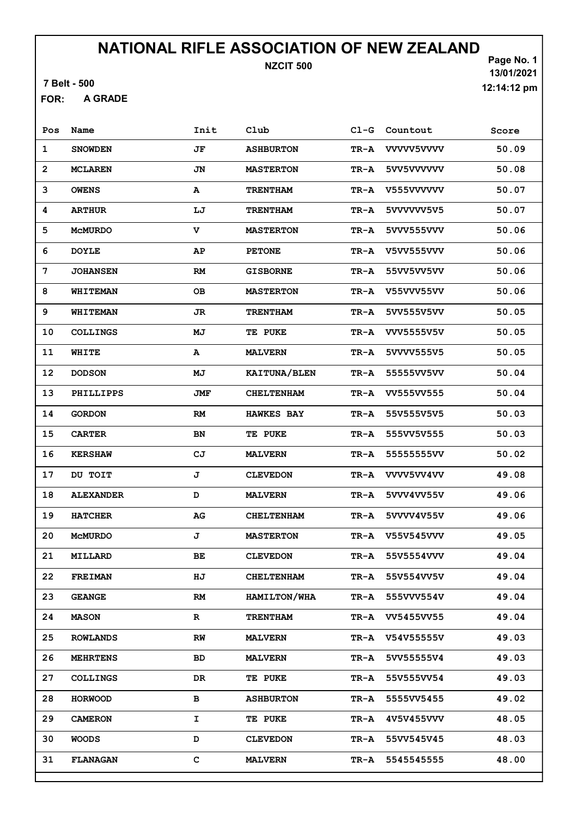7 Belt - 500

A GRADE FOR:

| Pos            | Name             | Init      | Club              |      | Cl-G Countout   | Score |
|----------------|------------------|-----------|-------------------|------|-----------------|-------|
| $\mathbf{1}$   | <b>SNOWDEN</b>   | JF        | <b>ASHBURTON</b>  | TR-A | VVVV5VVVV       | 50.09 |
| $\overline{2}$ | <b>MCLAREN</b>   | JN        | <b>MASTERTON</b>  | TR-A | 5VV5VVVVVV      | 50.08 |
| 3              | <b>OWENS</b>     | A         | <b>TRENTHAM</b>   | TR-A | V555VVVVVV      | 50.07 |
| 4              | <b>ARTHUR</b>    | LJ        | <b>TRENTHAM</b>   | TR-A | 5VVVVVV5V5      | 50.07 |
| 5              | <b>MCMURDO</b>   | v         | <b>MASTERTON</b>  | TR-A | 5VVV555VVV      | 50.06 |
| 6              | <b>DOYLE</b>     | AP        | <b>PETONE</b>     | TR-A | V5VV555VVV      | 50.06 |
| 7              | <b>JOHANSEN</b>  | <b>RM</b> | <b>GISBORNE</b>   | TR-A | 55VV5VV5VV      | 50.06 |
| 8              | <b>WHITEMAN</b>  | OВ        | <b>MASTERTON</b>  | TR-A | V55VVV55VV      | 50.06 |
| 9              | WHITEMAN         | JR.       | <b>TRENTHAM</b>   | TR-A | 5VV555V5VV      | 50.05 |
| 10             | <b>COLLINGS</b>  | МJ        | <b>TE PUKE</b>    | TR-A | VVV5555V5V      | 50.05 |
| 11             | WHITE            | A         | <b>MALVERN</b>    | TR-A | 5VVVV555V5      | 50.05 |
| 12             | <b>DODSON</b>    | МJ        | KAITUNA/BLEN      | TR-A | 55555VV5VV      | 50.04 |
| 13             | PHILLIPPS        | JMF       | <b>CHELTENHAM</b> | TR-A | VV555VV555      | 50.04 |
| 14             | <b>GORDON</b>    | RM        | <b>HAWKES BAY</b> | TR-A | 55V555V5V5      | 50.03 |
| 15             | <b>CARTER</b>    | <b>BN</b> | <b>TE PUKE</b>    | TR-A | 555VV5V555      | 50.03 |
| 16             | <b>KERSHAW</b>   | CJ        | <b>MALVERN</b>    | TR-A | 55555555VV      | 50.02 |
| 17             | DU TOIT          | J         | <b>CLEVEDON</b>   |      | TR-A VVVV5VV4VV | 49.08 |
| 18             | <b>ALEXANDER</b> | D         | <b>MALVERN</b>    | TR-A | 5VVV4VV55V      | 49.06 |
| 19             | <b>HATCHER</b>   | AG        | <b>CHELTENHAM</b> | TR-A | 5VVVV4V55V      | 49.06 |
| 20             | <b>MCMURDO</b>   | J         | <b>MASTERTON</b>  |      | TR-A V55V545VVV | 49.05 |
| 21             | MILLARD          | BE        | <b>CLEVEDON</b>   |      | TR-A 55V5554VVV | 49.04 |
| 22             | <b>FREIMAN</b>   | HJ        | <b>CHELTENHAM</b> | TR-A | 55V554VV5V      | 49.04 |
| 23             | <b>GEANGE</b>    | RM        | HAMILTON/WHA      | TR-A | 555VVV554V      | 49.04 |
| 24             | <b>MASON</b>     | R         | <b>TRENTHAM</b>   | TR-A | VV5455VV55      | 49.04 |
| 25             | <b>ROWLANDS</b>  | RW        | <b>MALVERN</b>    |      | TR-A V54V55555V | 49.03 |
| 26             | <b>MEHRTENS</b>  | BD        | <b>MALVERN</b>    | TR-A | 5VV55555V4      | 49.03 |
| 27             | <b>COLLINGS</b>  | DR        | <b>TE PUKE</b>    | TR-A | 55V555VV54      | 49.03 |
| 28             | <b>HORWOOD</b>   | в         | <b>ASHBURTON</b>  | TR-A | 5555VV5455      | 49.02 |
| 29             | <b>CAMERON</b>   | I.        | <b>TE PUKE</b>    | TR-A | 4V5V455VVV      | 48.05 |
| 30             | WOODS            | D         | <b>CLEVEDON</b>   | TR-A | 55VV545V45      | 48.03 |
| 31             | <b>FLANAGAN</b>  | с         | <b>MALVERN</b>    | TR-A | 5545545555      | 48.00 |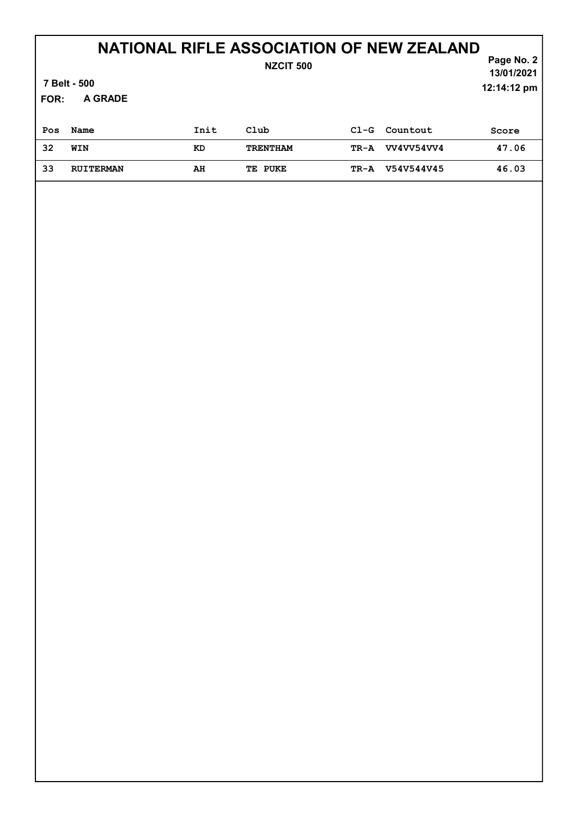| <b>NZCIT 500</b><br>7 Belt - 500<br>A GRADE<br><b>FOR:</b> |                  |      |                 |        | Page No. 2<br>13/01/2021<br>12:14:12 pm |       |
|------------------------------------------------------------|------------------|------|-----------------|--------|-----------------------------------------|-------|
| Pos                                                        | Name             | Init | Club            | $CL-G$ | Countout                                | Score |
| 32                                                         | WIN              | KD   | <b>TRENTHAM</b> | TR-A   | VV4VV54VV4                              | 47.06 |
| 33                                                         | <b>RUITERMAN</b> | AH   | TE PUKE         | TR-A   | V54V544V45                              | 46.03 |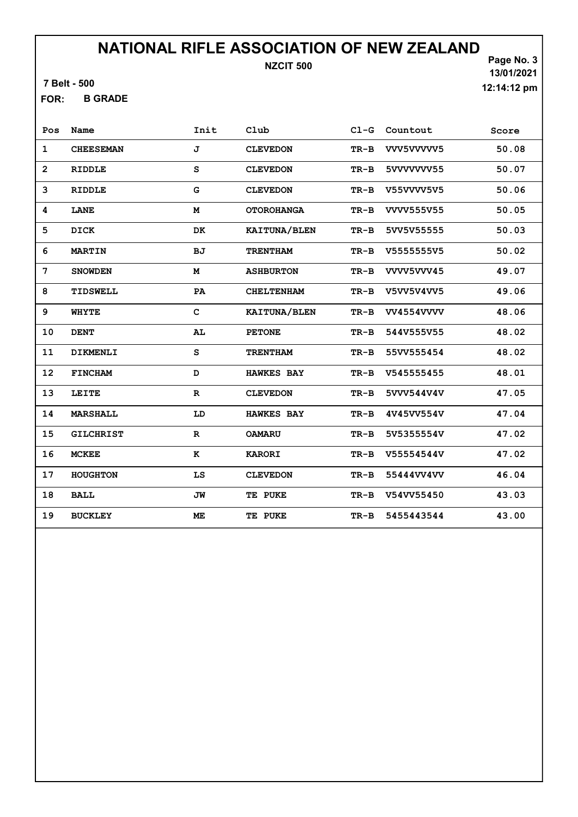7 Belt - 500

B GRADE FOR:

Page No. 3 13/01/2021 12:14:12 pm

| Pos               | Name             | Init         | Club              | $CL-G$ | Countout          | Score |
|-------------------|------------------|--------------|-------------------|--------|-------------------|-------|
| $\mathbf{1}$      | <b>CHEESEMAN</b> | J            | <b>CLEVEDON</b>   | $TR-B$ | VVV5VVVVV5        | 50.08 |
| $\overline{2}$    | <b>RIDDLE</b>    | S            | <b>CLEVEDON</b>   | $TR-B$ | 5VVVVVVV55        | 50.07 |
| 3                 | <b>RIDDLE</b>    | G            | <b>CLEVEDON</b>   | $TR-B$ | V55VVVV5V5        | 50.06 |
| 4                 | LANE             | M            | <b>OTOROHANGA</b> | TR-B   | VVVV555V55        | 50.05 |
| 5                 | DICK             | DK           | KAITUNA/BLEN      | TR-B   | 5VV5V55555        | 50.03 |
| 6                 | <b>MARTIN</b>    | <b>BJ</b>    | <b>TRENTHAM</b>   | $TR-B$ | V5555555V5        | 50.02 |
| 7                 | <b>SNOWDEN</b>   | M            | <b>ASHBURTON</b>  | $TR-B$ | VVVV5VVV45        | 49.07 |
| 8                 | TIDSWELL         | PA           | <b>CHELTENHAM</b> | $TR-B$ | V5VV5V4VV5        | 49.06 |
| 9                 | <b>WHYTE</b>     | $\mathbf{C}$ | KAITUNA/BLEN      | $TR-B$ | <b>VV4554VVVV</b> | 48.06 |
| 10                | <b>DENT</b>      | AL           | <b>PETONE</b>     | $TR-B$ | 544V555V55        | 48.02 |
| 11                | DIKMENLI         | S            | <b>TRENTHAM</b>   | $TR-B$ | 55VV555454        | 48.02 |
| $12 \overline{ }$ | <b>FINCHAM</b>   | D            | <b>HAWKES BAY</b> | TR-B   | V545555455        | 48.01 |
| 13                | LEITE            | $\mathbf R$  | <b>CLEVEDON</b>   | $TR-B$ | 5VVV544V4V        | 47.05 |
| 14                | <b>MARSHALL</b>  | LD           | <b>HAWKES BAY</b> | $TR-B$ | 4V45VV554V        | 47.04 |
| 15                | <b>GILCHRIST</b> | $\mathbf{R}$ | <b>OAMARU</b>     | $TR-B$ | 5V5355554V        | 47.02 |
| 16                | <b>MCKEE</b>     | к            | <b>KARORI</b>     | $TR-B$ | V55554544V        | 47.02 |
| 17                | <b>HOUGHTON</b>  | LS           | <b>CLEVEDON</b>   | $TR-B$ | 55444VV4VV        | 46.04 |
| 18                | <b>BALL</b>      | JW           | TE PUKE           | $TR-B$ | V54VV55450        | 43.03 |
| 19                | <b>BUCKLEY</b>   | ME           | TE PUKE           | $TR-B$ | 5455443544        | 43.00 |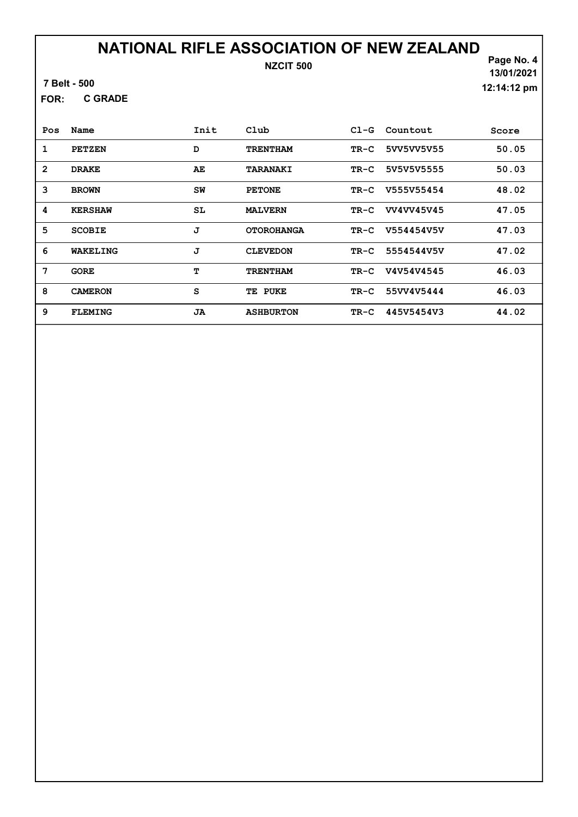#### 7 Belt - 500

C GRADE FOR:

Page No. 4 13/01/2021 12:14:12 pm

| Pos            | Name           | Init | Club              | $C1-G$ | Countout   | Score |
|----------------|----------------|------|-------------------|--------|------------|-------|
| 1              | <b>PETZEN</b>  | D    | <b>TRENTHAM</b>   | $TR-C$ | 5VV5VV5V55 | 50.05 |
| $\overline{2}$ | <b>DRAKE</b>   | AE   | <b>TARANAKI</b>   | TR-C   | 5V5V5V5555 | 50.03 |
| 3              | <b>BROWN</b>   | SW   | <b>PETONE</b>     | TR-C   | V555V55454 | 48.02 |
| 4              | <b>KERSHAW</b> | SL   | <b>MALVERN</b>    | TR-C   | VV4VV45V45 | 47.05 |
| 5              | <b>SCOBIE</b>  | J    | <b>OTOROHANGA</b> | TR-C   | V554454V5V | 47.03 |
| 6              | WAKELING       | J    | <b>CLEVEDON</b>   | $TR-C$ | 5554544V5V | 47.02 |
| 7              | <b>GORE</b>    | т    | <b>TRENTHAM</b>   | TR-C   | V4V54V4545 | 46.03 |
| 8              | <b>CAMERON</b> | S    | TE PUKE           | TR-C   | 55VV4V5444 | 46.03 |
| 9              | <b>FLEMING</b> | JA   | <b>ASHBURTON</b>  | TR-C   | 445V5454V3 | 44.02 |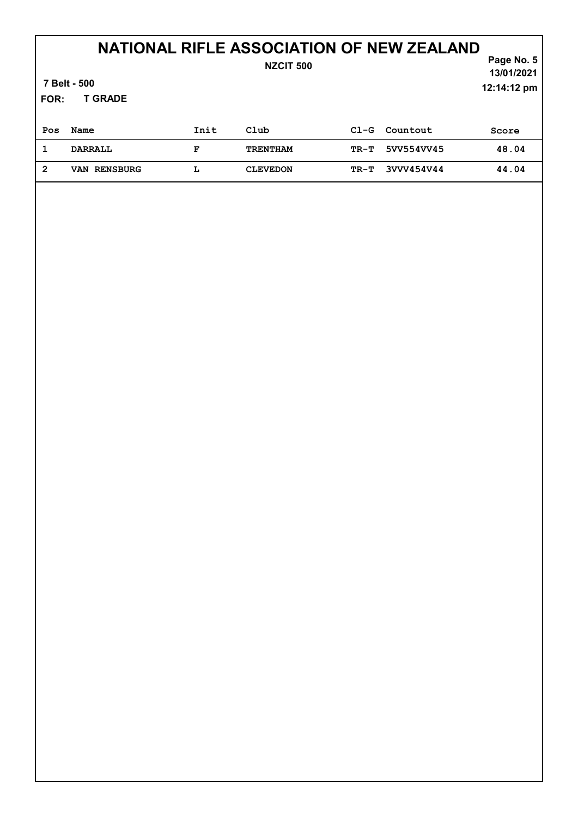|                | 7 Belt - 500        |      | NZCIT 500       |        |            | Page No. 5<br>13/01/2021 |  |  |
|----------------|---------------------|------|-----------------|--------|------------|--------------------------|--|--|
| FOR:           | <b>T GRADE</b>      |      |                 |        |            | 12:14:12 pm              |  |  |
| Pos            | Name                | Init | Club            | $C1-G$ | Countout   | Score                    |  |  |
| 1              | <b>DARRALL</b>      | F    | <b>TRENTHAM</b> | TR-T   | 5VV554VV45 | 48.04                    |  |  |
| $\overline{2}$ | <b>VAN RENSBURG</b> | L    | <b>CLEVEDON</b> | $TR-T$ | 3VVV454V44 | 44.04                    |  |  |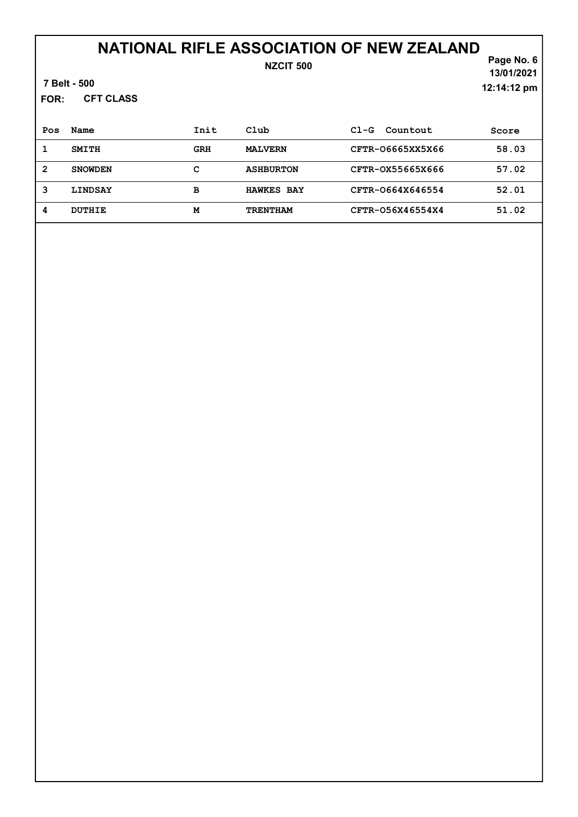### NZCIT 500

Page No. 6 13/01/2021 12:14:12 pm

7 Belt - 500

CFT CLASS FOR:

| Pos | Name           | Init       | Club              | $C1-G$<br>Countout | Score |
|-----|----------------|------------|-------------------|--------------------|-------|
|     | <b>SMITH</b>   | <b>GRH</b> | <b>MALVERN</b>    | CFTR-06665XX5X66   | 58.03 |
| 2   | <b>SNOWDEN</b> | с          | <b>ASHBURTON</b>  | CFTR-0X55665X666   | 57.02 |
| 3   | <b>LINDSAY</b> | в          | <b>HAWKES BAY</b> | CFTR-0664X646554   | 52.01 |
| 4   | DUTHIE         | M          | <b>TRENTHAM</b>   | CFTR-056X46554X4   | 51.02 |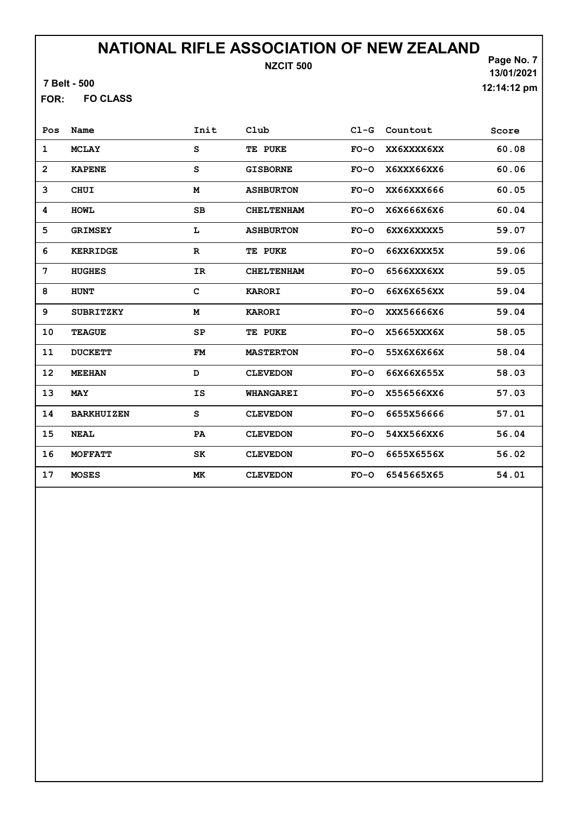7 Belt - 500

FO CLASS FOR:

Page No. 7 13/01/2021 12:14:12 pm

| Pos            | Name              | Init         | Club              | $CL-G$ | Countout   | Score |
|----------------|-------------------|--------------|-------------------|--------|------------|-------|
| $\mathbf{1}$   | <b>MCLAY</b>      | S            | TE PUKE           | $FO-O$ | XX6XXXX6XX | 60.08 |
| $\overline{2}$ | <b>KAPENE</b>     | S            | <b>GISBORNE</b>   | $FO-O$ | X6XXX66XX6 | 60.06 |
| 3              | <b>CHUI</b>       | M            | <b>ASHBURTON</b>  | $FO-O$ | XX66XXX666 | 60.05 |
| 4              | <b>HOWL</b>       | SB           | <b>CHELTENHAM</b> | $FO-O$ | X6X666X6X6 | 60.04 |
| 5              | <b>GRIMSEY</b>    | L            | <b>ASHBURTON</b>  | $FO-O$ | 6XX6XXXXX5 | 59.07 |
| 6              | <b>KERRIDGE</b>   | $\mathbf R$  | TE PUKE           | $FO-O$ | 66XX6XXX5X | 59.06 |
| 7              | <b>HUGHES</b>     | IR           | <b>CHELTENHAM</b> | $FO-O$ | 6566XXX6XX | 59.05 |
| 8              | <b>HUNT</b>       | $\mathbf{C}$ | <b>KARORI</b>     | $FO-O$ | 66X6X656XX | 59.04 |
| 9              | <b>SUBRITZKY</b>  | M            | <b>KARORI</b>     | $FO-O$ | XXX56666X6 | 59.04 |
| 10             | <b>TEAGUE</b>     | SP           | TE PUKE           | $FO-O$ | X5665XXX6X | 58.05 |
| 11             | <b>DUCKETT</b>    | FM           | <b>MASTERTON</b>  | $FO-O$ | 55X6X6X66X | 58.04 |
| 12             | <b>MEEHAN</b>     | D            | <b>CLEVEDON</b>   | $FO-O$ | 66X66X655X | 58.03 |
| 13             | <b>MAY</b>        | <b>IS</b>    | <b>WHANGAREI</b>  | $FO-O$ | X556566XX6 | 57.03 |
| 14             | <b>BARKHUIZEN</b> | S            | <b>CLEVEDON</b>   | $FO-O$ | 6655X56666 | 57.01 |
| 15             | <b>NEAL</b>       | PA           | <b>CLEVEDON</b>   | $FO-O$ | 54XX566XX6 | 56.04 |
| 16             | <b>MOFFATT</b>    | SK           | <b>CLEVEDON</b>   | $FO-O$ | 6655X6556X | 56.02 |
| 17             | <b>MOSES</b>      | МK           | <b>CLEVEDON</b>   | $FO-O$ | 6545665X65 | 54.01 |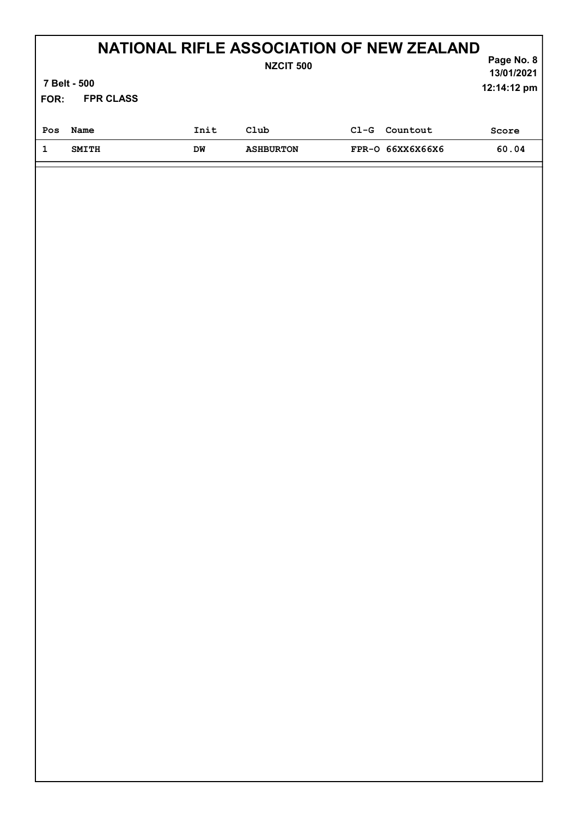| FOR: | 7 Belt - 500<br><b>FPR CLASS</b> |      | NATIONAL RIFLE ASSOCIATION OF NEW ZEALAND<br><b>NZCIT 500</b> |        |                  | Page No. 8<br>13/01/2021<br>12:14:12 pm |
|------|----------------------------------|------|---------------------------------------------------------------|--------|------------------|-----------------------------------------|
| Pos  | Name                             | Init | Club                                                          | $C1-G$ | Countout         | Score                                   |
| 1    | <b>SMITH</b>                     | DM   | <b>ASHBURTON</b>                                              |        | FPR-0 66XX6X66X6 | 60.04                                   |
|      |                                  |      |                                                               |        |                  |                                         |

Ι